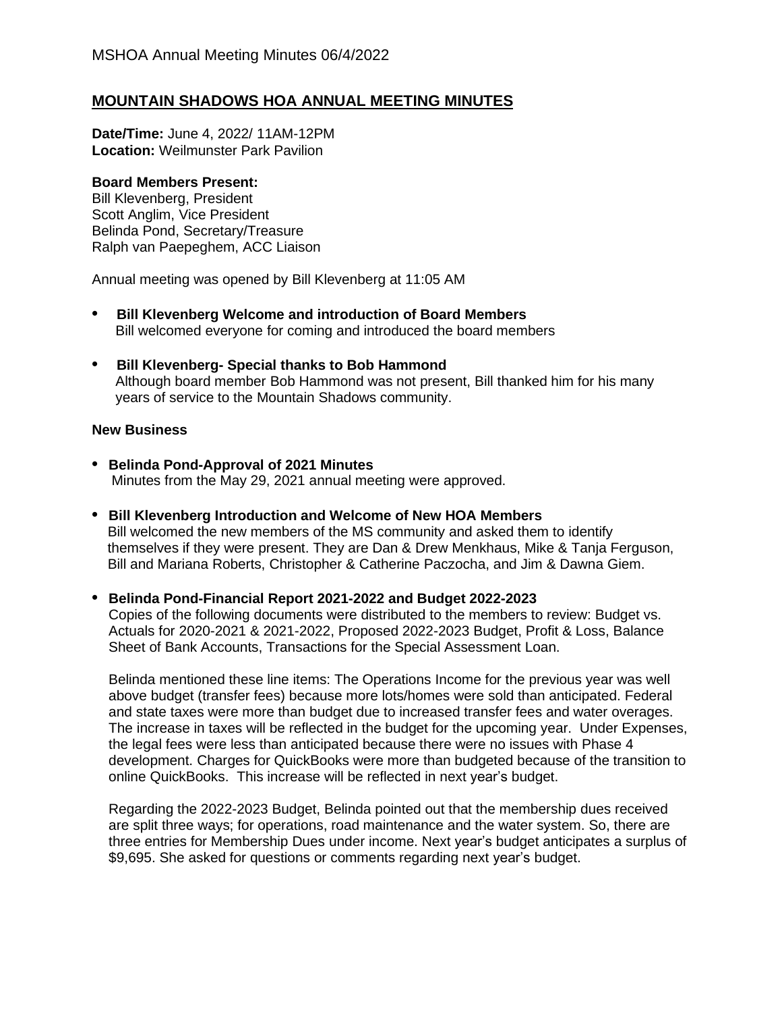# **MOUNTAIN SHADOWS HOA ANNUAL MEETING MINUTES**

**Date/Time:** June 4, 2022/ 11AM-12PM **Location:** Weilmunster Park Pavilion

#### **Board Members Present:**

Bill Klevenberg, President Scott Anglim, Vice President Belinda Pond, Secretary/Treasure Ralph van Paepeghem, ACC Liaison

Annual meeting was opened by Bill Klevenberg at 11:05 AM

- **• Bill Klevenberg Welcome and introduction of Board Members** Bill welcomed everyone for coming and introduced the board members
- **• Bill Klevenberg- Special thanks to Bob Hammond** Although board member Bob Hammond was not present, Bill thanked him for his many years of service to the Mountain Shadows community.

## **New Business**

- **• Belinda Pond-Approval of 2021 Minutes** Minutes from the May 29, 2021 annual meeting were approved.
- **• Bill Klevenberg Introduction and Welcome of New HOA Members** Bill welcomed the new members of the MS community and asked them to identify themselves if they were present. They are Dan & Drew Menkhaus, Mike & Tanja Ferguson, Bill and Mariana Roberts, Christopher & Catherine Paczocha, and Jim & Dawna Giem.

### **• Belinda Pond-Financial Report 2021-2022 and Budget 2022-2023**

Copies of the following documents were distributed to the members to review: Budget vs. Actuals for 2020-2021 & 2021-2022, Proposed 2022-2023 Budget, Profit & Loss, Balance Sheet of Bank Accounts, Transactions for the Special Assessment Loan.

Belinda mentioned these line items: The Operations Income for the previous year was well above budget (transfer fees) because more lots/homes were sold than anticipated. Federal and state taxes were more than budget due to increased transfer fees and water overages. The increase in taxes will be reflected in the budget for the upcoming year. Under Expenses, the legal fees were less than anticipated because there were no issues with Phase 4 development. Charges for QuickBooks were more than budgeted because of the transition to online QuickBooks. This increase will be reflected in next year's budget.

Regarding the 2022-2023 Budget, Belinda pointed out that the membership dues received are split three ways; for operations, road maintenance and the water system. So, there are three entries for Membership Dues under income. Next year's budget anticipates a surplus of \$9,695. She asked for questions or comments regarding next year's budget.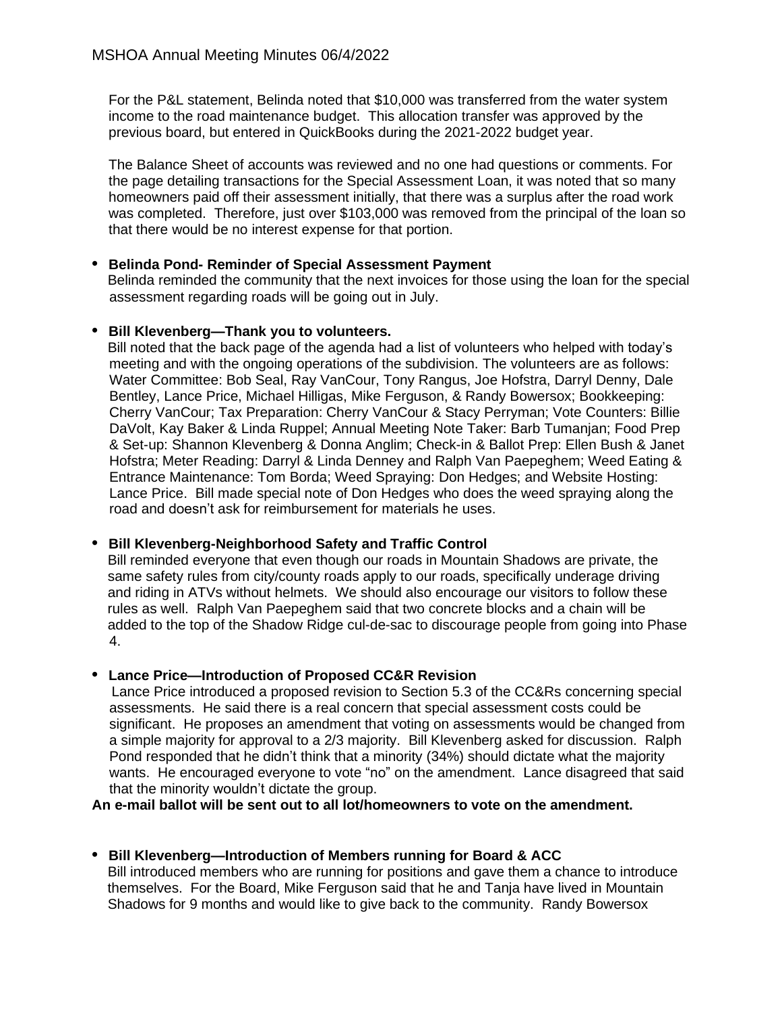For the P&L statement, Belinda noted that \$10,000 was transferred from the water system income to the road maintenance budget. This allocation transfer was approved by the previous board, but entered in QuickBooks during the 2021-2022 budget year.

The Balance Sheet of accounts was reviewed and no one had questions or comments. For the page detailing transactions for the Special Assessment Loan, it was noted that so many homeowners paid off their assessment initially, that there was a surplus after the road work was completed. Therefore, just over \$103,000 was removed from the principal of the loan so that there would be no interest expense for that portion.

### **• Belinda Pond- Reminder of Special Assessment Payment**

 Belinda reminded the community that the next invoices for those using the loan for the special assessment regarding roads will be going out in July.

#### **• Bill Klevenberg—Thank you to volunteers.**

 Bill noted that the back page of the agenda had a list of volunteers who helped with today's meeting and with the ongoing operations of the subdivision. The volunteers are as follows: Water Committee: Bob Seal, Ray VanCour, Tony Rangus, Joe Hofstra, Darryl Denny, Dale Bentley, Lance Price, Michael Hilligas, Mike Ferguson, & Randy Bowersox; Bookkeeping: Cherry VanCour; Tax Preparation: Cherry VanCour & Stacy Perryman; Vote Counters: Billie DaVolt, Kay Baker & Linda Ruppel; Annual Meeting Note Taker: Barb Tumanjan; Food Prep & Set-up: Shannon Klevenberg & Donna Anglim; Check-in & Ballot Prep: Ellen Bush & Janet Hofstra; Meter Reading: Darryl & Linda Denney and Ralph Van Paepeghem; Weed Eating & Entrance Maintenance: Tom Borda; Weed Spraying: Don Hedges; and Website Hosting: Lance Price. Bill made special note of Don Hedges who does the weed spraying along the road and doesn't ask for reimbursement for materials he uses.

### **• Bill Klevenberg-Neighborhood Safety and Traffic Control**

 Bill reminded everyone that even though our roads in Mountain Shadows are private, the same safety rules from city/county roads apply to our roads, specifically underage driving and riding in ATVs without helmets. We should also encourage our visitors to follow these rules as well. Ralph Van Paepeghem said that two concrete blocks and a chain will be added to the top of the Shadow Ridge cul-de-sac to discourage people from going into Phase 4.

### **• Lance Price—Introduction of Proposed CC&R Revision**

 Lance Price introduced a proposed revision to Section 5.3 of the CC&Rs concerning special assessments. He said there is a real concern that special assessment costs could be significant. He proposes an amendment that voting on assessments would be changed from a simple majority for approval to a 2/3 majority. Bill Klevenberg asked for discussion. Ralph Pond responded that he didn't think that a minority (34%) should dictate what the majority wants. He encouraged everyone to vote "no" on the amendment. Lance disagreed that said that the minority wouldn't dictate the group.

**An e-mail ballot will be sent out to all lot/homeowners to vote on the amendment.**

### **• Bill Klevenberg—Introduction of Members running for Board & ACC**

 Bill introduced members who are running for positions and gave them a chance to introduce themselves. For the Board, Mike Ferguson said that he and Tanja have lived in Mountain Shadows for 9 months and would like to give back to the community. Randy Bowersox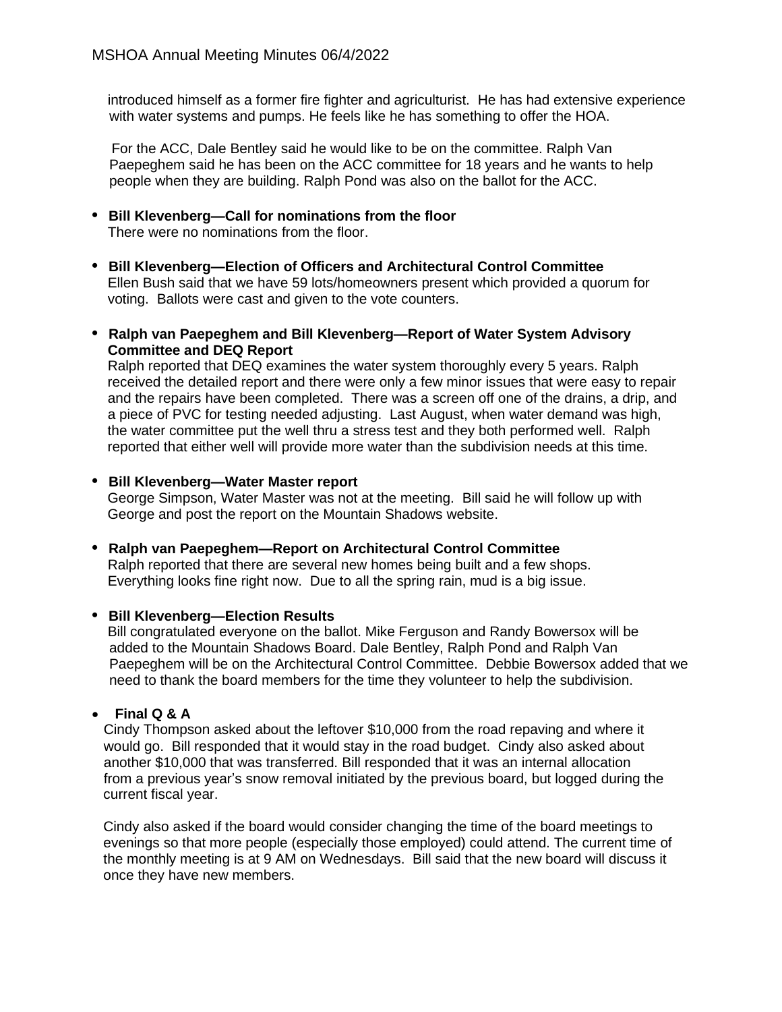introduced himself as a former fire fighter and agriculturist. He has had extensive experience with water systems and pumps. He feels like he has something to offer the HOA.

 For the ACC, Dale Bentley said he would like to be on the committee. Ralph Van Paepeghem said he has been on the ACC committee for 18 years and he wants to help people when they are building. Ralph Pond was also on the ballot for the ACC.

- **• Bill Klevenberg—Call for nominations from the floor** There were no nominations from the floor.
- **• Bill Klevenberg—Election of Officers and Architectural Control Committee** Ellen Bush said that we have 59 lots/homeowners present which provided a quorum for voting. Ballots were cast and given to the vote counters.
- **• Ralph van Paepeghem and Bill Klevenberg—Report of Water System Advisory Committee and DEQ Report**

 Ralph reported that DEQ examines the water system thoroughly every 5 years. Ralph received the detailed report and there were only a few minor issues that were easy to repair and the repairs have been completed. There was a screen off one of the drains, a drip, and a piece of PVC for testing needed adjusting. Last August, when water demand was high, the water committee put the well thru a stress test and they both performed well. Ralph reported that either well will provide more water than the subdivision needs at this time.

**• Bill Klevenberg—Water Master report**

 George Simpson, Water Master was not at the meeting. Bill said he will follow up with George and post the report on the Mountain Shadows website.

**• Ralph van Paepeghem—Report on Architectural Control Committee** Ralph reported that there are several new homes being built and a few shops. Everything looks fine right now. Due to all the spring rain, mud is a big issue.

### **• Bill Klevenberg—Election Results**

Bill congratulated everyone on the ballot. Mike Ferguson and Randy Bowersox will be added to the Mountain Shadows Board. Dale Bentley, Ralph Pond and Ralph Van Paepeghem will be on the Architectural Control Committee. Debbie Bowersox added that we need to thank the board members for the time they volunteer to help the subdivision.

### • **Final Q & A**

 Cindy Thompson asked about the leftover \$10,000 from the road repaving and where it would go. Bill responded that it would stay in the road budget. Cindy also asked about another \$10,000 that was transferred. Bill responded that it was an internal allocation from a previous year's snow removal initiated by the previous board, but logged during the current fiscal year.

Cindy also asked if the board would consider changing the time of the board meetings to evenings so that more people (especially those employed) could attend. The current time of the monthly meeting is at 9 AM on Wednesdays. Bill said that the new board will discuss it once they have new members.